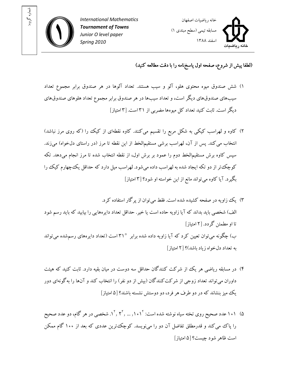



## (لطفا پيش از شروع، صفحه اول پاسخ نامه را با دقت مطالعه کنيد)

- )۱ شش صندوق ميوه محتوي هلو، آلو و سيب هستند. تعداد آلوها در هر صندوق برابر مجموع تعداد سيب هاي صندوق هاي ديگر است، و تعداد سيب ها در هر صندوق برابر مجموع تعداد هلوهاي صندوق هاي ديگر است. ثابت کنيد تعداد کل ميوهها مضربي از ۳۱ست. [۳ امتياز]
- ۲) کاوه و لهراسب کيکي به شکل مربع را تقسيم ميکنند. کاوه نقطهای از کيک را (که روی مرز نباشد) انتخاب مي كند. پس از آن، لهراسب برشي مستقيمالخط از اين نقطه تا مرز (در راستاي دلخواه) ميزند. سپس کاوه برش مستقيمالخط دوم را عمود بر برش اول، از نقطه انتخاب شده تا مرز انجام ميدهد. تکه کوچک تر از دو تکه ايجاد شده به لهراسب داده مي شود. لهراسب ميل دارد که حداقل يک چهارم کيک را بگيرد. آيا كاوه مي تواند مانع از اين خواسته او شود؟ [۳ امتياز]
- ۳) يک زاويه در صفحه کشيده شده است. فقط مي توان از پر گار استفاده کر د. الف) شخصي بايد بداند که آيا زاويه حاده است يا خير. حداقل تعداد دايرههايي را بيابيد که بايد رسم شود تا او مطمئن گردد. [ ۲ امتياز ] ب) چگونه مي توان تعيين کرد که آيا زاويه داده شده برابر ° ۳۱ است (تعداد دايرههاي رسمشده مي تواند به تعداد دلخواه زياد باشد ۲[ ؟) امتياز]
- ۴) در مسابقه رياضي هر يک از شرکت کنندگان حداقل سه دوست در ميان بقيه دارد. ثابت کنيد که هيئت داوران مي تواند تعداد زوجي از شرکتکنندگان (بيش از دو نفر) را انتخاب کند و آنها را به گونهاي دور يک زيم بنشاند که در دو طرف هر فرد، دو دوستش نشسته باشند ۵[ ؟ امتياز]
- ۵) ۱۰۱ عدد صحیح روی تخته سیاه نوشته شده است: ۱۰٫۱<sup>۲</sup>٫ ... ,۱<sup>۰</sup>٫۲<sup>۲</sup>, شخصی در هر گام، دو عدد صحیح را پاک مي کند و قدرمطلق تفاضل آن دو را مي نويسد. کوچک ترين عددي که بعد از ۱۰۰ گام ممکن است ظاهر شود چيست؟ ۵[ امتياز]